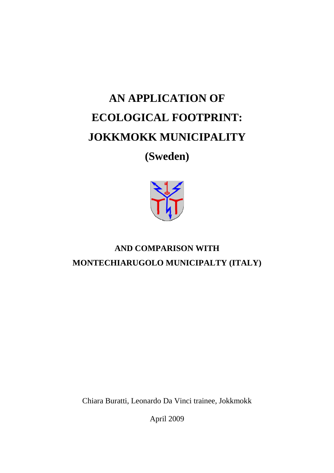# **AN APPLICATION OF ECOLOGICAL FOOTPRINT: JOKKMOKK MUNICIPALITY**

# **(Sweden)**



# **AND COMPARISON WITH MONTECHIARUGOLO MUNICIPALTY (ITALY)**

Chiara Buratti, Leonardo Da Vinci trainee, Jokkmokk

April 2009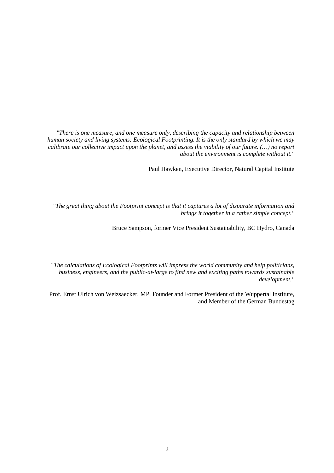*"There is one measure, and one measure only, describing the capacity and relationship between human society and living systems: Ecological Footprinting. It is the only standard by which we may calibrate our collective impact upon the planet, and assess the viability of our future. (…) no report about the environment is complete without it."* 

Paul Hawken, Executive Director, Natural Capital Institute

*"The great thing about the Footprint concept is that it captures a lot of disparate information and brings it together in a rather simple concept."* 

Bruce Sampson, former Vice President Sustainability, BC Hydro, Canada

"*The calculations of Ecological Footprints will impress the world community and help politicians, business, engineers, and the public-at-large to find new and exciting paths towards sustainable development."* 

Prof. Ernst Ulrich von Weizsaecker, MP, Founder and Former President of the Wuppertal Institute, and Member of the German Bundestag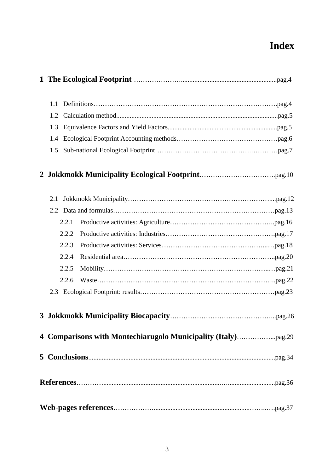# **Index**

| 1.1 |                                                               |
|-----|---------------------------------------------------------------|
| 1.2 |                                                               |
| 1.3 |                                                               |
| 1.4 |                                                               |
| 1.5 |                                                               |
|     |                                                               |
| 2.1 |                                                               |
|     |                                                               |
|     | 2.2.1                                                         |
|     | 2.2.2                                                         |
|     | 2.2.3                                                         |
|     | 2.2.4                                                         |
|     | 2.2.5                                                         |
|     | 2.2.6                                                         |
|     |                                                               |
|     |                                                               |
|     | 4 Comparisons with Montechiarugolo Municipality (Italy)pag.29 |
|     |                                                               |
|     |                                                               |
|     |                                                               |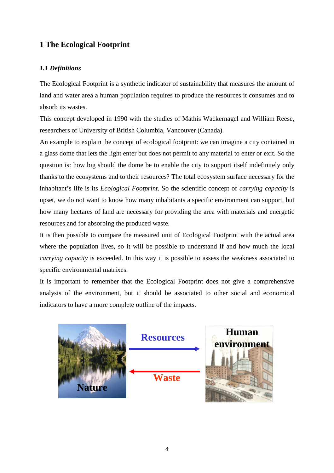# **1 The Ecological Footprint**

### *1.1 Definitions*

The Ecological Footprint is a synthetic indicator of sustainability that measures the amount of land and water area a human population requires to produce the resources it consumes and to absorb its wastes.

This concept developed in 1990 with the studies of Mathis Wackernagel and William Reese, researchers of University of British Columbia, Vancouver (Canada).

An example to explain the concept of ecological footprint: we can imagine a city contained in a glass dome that lets the light enter but does not permit to any material to enter or exit. So the question is: how big should the dome be to enable the city to support itself indefinitely only thanks to the ecosystems and to their resources? The total ecosystem surface necessary for the inhabitant's life is its *Ecological Footprint*. So the scientific concept of *carrying capacity* is upset, we do not want to know how many inhabitants a specific environment can support, but how many hectares of land are necessary for providing the area with materials and energetic resources and for absorbing the produced waste.

It is then possible to compare the measured unit of Ecological Footprint with the actual area where the population lives, so it will be possible to understand if and how much the local *carrying capacity* is exceeded. In this way it is possible to assess the weakness associated to specific environmental matrixes.

It is important to remember that the Ecological Footprint does not give a comprehensive analysis of the environment, but it should be associated to other social and economical indicators to have a more complete outline of the impacts.

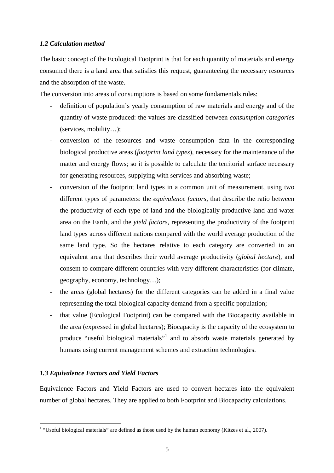#### *1.2 Calculation method*

The basic concept of the Ecological Footprint is that for each quantity of materials and energy consumed there is a land area that satisfies this request, guaranteeing the necessary resources and the absorption of the waste.

The conversion into areas of consumptions is based on some fundamentals rules:

- definition of population's yearly consumption of raw materials and energy and of the quantity of waste produced: the values are classified between *consumption categories* (services, mobility…);
- conversion of the resources and waste consumption data in the corresponding biological productive areas (*footprint land types*), necessary for the maintenance of the matter and energy flows; so it is possible to calculate the territorial surface necessary for generating resources, supplying with services and absorbing waste;
- conversion of the footprint land types in a common unit of measurement, using two different types of parameters: the *equivalence factors*, that describe the ratio between the productivity of each type of land and the biologically productive land and water area on the Earth, and the *yield factors*, representing the productivity of the footprint land types across different nations compared with the world average production of the same land type. So the hectares relative to each category are converted in an equivalent area that describes their world average productivity (*global hectare*), and consent to compare different countries with very different characteristics (for climate, geography, economy, technology…);
- the areas (global hectares) for the different categories can be added in a final value representing the total biological capacity demand from a specific population;
- that value (Ecological Footprint) can be compared with the Biocapacity available in the area (expressed in global hectares); Biocapacity is the capacity of the ecosystem to produce "useful biological materials"<sup>1</sup> and to absorb waste materials generated by humans using current management schemes and extraction technologies.

#### *1.3 Equivalence Factors and Yield Factors*

Equivalence Factors and Yield Factors are used to convert hectares into the equivalent number of global hectares. They are applied to both Footprint and Biocapacity calculations.

 1 "Useful biological materials" are defined as those used by the human economy (Kitzes et al., 2007).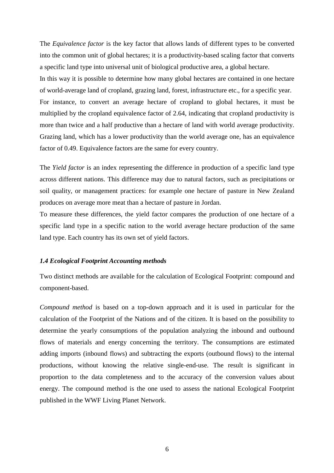The *Equivalence factor* is the key factor that allows lands of different types to be converted into the common unit of global hectares; it is a productivity-based scaling factor that converts a specific land type into universal unit of biological productive area, a global hectare.

In this way it is possible to determine how many global hectares are contained in one hectare of world-average land of cropland, grazing land, forest, infrastructure etc., for a specific year. For instance, to convert an average hectare of cropland to global hectares, it must be multiplied by the cropland equivalence factor of 2.64, indicating that cropland productivity is more than twice and a half productive than a hectare of land with world average productivity. Grazing land, which has a lower productivity than the world average one, has an equivalence factor of 0.49. Equivalence factors are the same for every country.

The *Yield factor* is an index representing the difference in production of a specific land type across different nations. This difference may due to natural factors, such as precipitations or soil quality, or management practices: for example one hectare of pasture in New Zealand produces on average more meat than a hectare of pasture in Jordan.

To measure these differences, the yield factor compares the production of one hectare of a specific land type in a specific nation to the world average hectare production of the same land type. Each country has its own set of yield factors.

#### *1.4 Ecological Footprint Accounting methods*

Two distinct methods are available for the calculation of Ecological Footprint: compound and component-based.

*Compound method* is based on a top-down approach and it is used in particular for the calculation of the Footprint of the Nations and of the citizen. It is based on the possibility to determine the yearly consumptions of the population analyzing the inbound and outbound flows of materials and energy concerning the territory. The consumptions are estimated adding imports (inbound flows) and subtracting the exports (outbound flows) to the internal productions, without knowing the relative single-end-use. The result is significant in proportion to the data completeness and to the accuracy of the conversion values about energy. The compound method is the one used to assess the national Ecological Footprint published in the WWF Living Planet Network.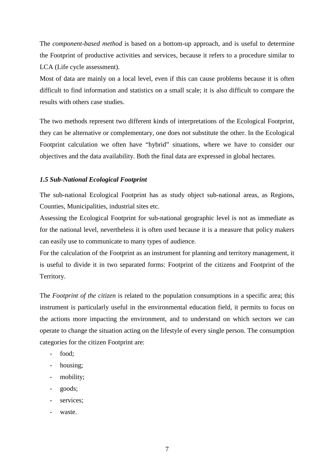The *component-based method* is based on a bottom-up approach, and is useful to determine the Footprint of productive activities and services, because it refers to a procedure similar to LCA (Life cycle assessment).

Most of data are mainly on a local level, even if this can cause problems because it is often difficult to find information and statistics on a small scale; it is also difficult to compare the results with others case studies.

The two methods represent two different kinds of interpretations of the Ecological Footprint, they can be alternative or complementary, one does not substitute the other. In the Ecological Footprint calculation we often have "hybrid" situations, where we have to consider our objectives and the data availability. Both the final data are expressed in global hectares.

#### *1.5 Sub-National Ecological Footprint*

The sub-national Ecological Footprint has as study object sub-national areas, as Regions, Counties, Municipalities, industrial sites etc.

Assessing the Ecological Footprint for sub-national geographic level is not as immediate as for the national level, nevertheless it is often used because it is a measure that policy makers can easily use to communicate to many types of audience.

For the calculation of the Footprint as an instrument for planning and territory management, it is useful to divide it in two separated forms: Footprint of the citizens and Footprint of the Territory.

The *Footprint of the citizen* is related to the population consumptions in a specific area; this instrument is particularly useful in the environmental education field, it permits to focus on the actions more impacting the environment, and to understand on which sectors we can operate to change the situation acting on the lifestyle of every single person. The consumption categories for the citizen Footprint are:

- food:
- housing;
- mobility;
- goods;
- services:
- waste.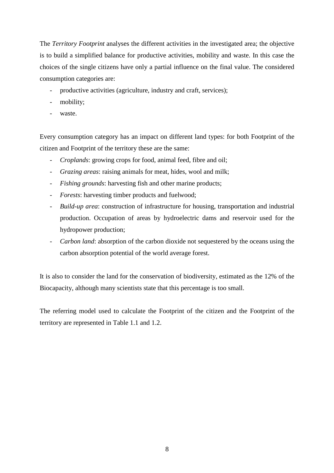The *Territory Footprint* analyses the different activities in the investigated area; the objective is to build a simplified balance for productive activities, mobility and waste. In this case the choices of the single citizens have only a partial influence on the final value. The considered consumption categories are:

- productive activities (agriculture, industry and craft, services);
- mobility;
- waste.

Every consumption category has an impact on different land types: for both Footprint of the citizen and Footprint of the territory these are the same:

- *Croplands*: growing crops for food, animal feed, fibre and oil;
- *Grazing areas*: raising animals for meat, hides, wool and milk;
- *Fishing grounds*: harvesting fish and other marine products;
- *Forests*: harvesting timber products and fuelwood;
- *Build-up area*: construction of infrastructure for housing, transportation and industrial production. Occupation of areas by hydroelectric dams and reservoir used for the hydropower production;
- *Carbon land*: absorption of the carbon dioxide not sequestered by the oceans using the carbon absorption potential of the world average forest.

It is also to consider the land for the conservation of biodiversity, estimated as the 12% of the Biocapacity, although many scientists state that this percentage is too small.

The referring model used to calculate the Footprint of the citizen and the Footprint of the territory are represented in Table 1.1 and 1.2.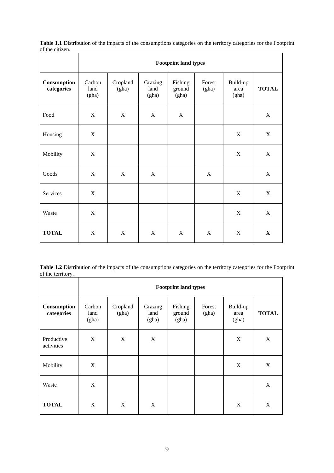**Table 1.1** Distribution of the impacts of the consumptions categories on the territory categories for the Footprint of the citizen.

|                           | <b>Footprint land types</b> |                   |                          |                            |                 |                           |              |
|---------------------------|-----------------------------|-------------------|--------------------------|----------------------------|-----------------|---------------------------|--------------|
| Consumption<br>categories | Carbon<br>land<br>(gha)     | Cropland<br>(gha) | Grazing<br>land<br>(gha) | Fishing<br>ground<br>(gha) | Forest<br>(gha) | Build-up<br>area<br>(gha) | <b>TOTAL</b> |
| Food                      | X                           | $\mathbf X$       | X                        | $\mathbf X$                |                 |                           | $\mathbf X$  |
| Housing                   | $\mathbf X$                 |                   |                          |                            |                 | X                         | $\mathbf X$  |
| Mobility                  | $\mathbf X$                 |                   |                          |                            |                 | X                         | $\mathbf X$  |
| Goods                     | X                           | X                 | X                        |                            | X               |                           | X            |
| Services                  | $\mathbf X$                 |                   |                          |                            |                 | X                         | X            |
| Waste                     | X                           |                   |                          |                            |                 | X                         | $\mathbf X$  |
| <b>TOTAL</b>              | $\mathbf X$                 | $\mathbf X$       | X                        | $\mathbf X$                | X               | X                         | $\mathbf X$  |

**Table 1.2** Distribution of the impacts of the consumptions categories on the territory categories for the Footprint of the territory.

|                           | <b>Footprint land types</b> |                   |                          |                            |                 |                           |              |
|---------------------------|-----------------------------|-------------------|--------------------------|----------------------------|-----------------|---------------------------|--------------|
| Consumption<br>categories | Carbon<br>land<br>(gha)     | Cropland<br>(gha) | Grazing<br>land<br>(gha) | Fishing<br>ground<br>(gha) | Forest<br>(gha) | Build-up<br>area<br>(gha) | <b>TOTAL</b> |
| Productive<br>activities  | X                           | X                 | X                        |                            |                 | X                         | X            |
| Mobility                  | X                           |                   |                          |                            |                 | X                         | X            |
| Waste                     | X                           |                   |                          |                            |                 |                           | X            |
| <b>TOTAL</b>              | X                           | $\mathbf X$       | X                        |                            |                 | X                         | X            |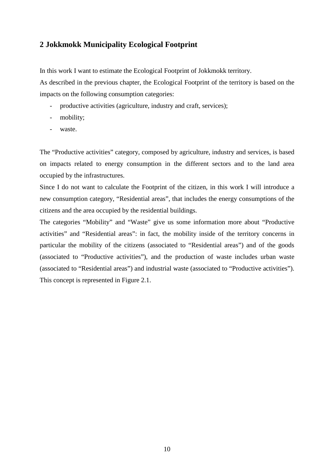## **2 Jokkmokk Municipality Ecological Footprint**

In this work I want to estimate the Ecological Footprint of Jokkmokk territory.

As described in the previous chapter, the Ecological Footprint of the territory is based on the impacts on the following consumption categories:

- productive activities (agriculture, industry and craft, services);
- mobility;
- waste.

The "Productive activities" category, composed by agriculture, industry and services, is based on impacts related to energy consumption in the different sectors and to the land area occupied by the infrastructures.

Since I do not want to calculate the Footprint of the citizen, in this work I will introduce a new consumption category, "Residential areas", that includes the energy consumptions of the citizens and the area occupied by the residential buildings.

The categories "Mobility" and "Waste" give us some information more about "Productive activities" and "Residential areas": in fact, the mobility inside of the territory concerns in particular the mobility of the citizens (associated to "Residential areas") and of the goods (associated to "Productive activities"), and the production of waste includes urban waste (associated to "Residential areas") and industrial waste (associated to "Productive activities"). This concept is represented in Figure 2.1.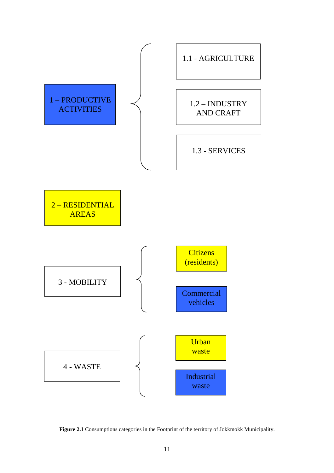

**Figure 2.1** Consumptions categories in the Footprint of the territory of Jokkmokk Municipality.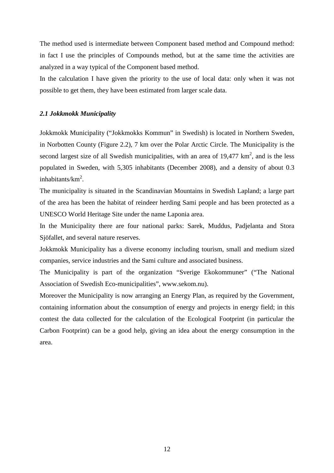The method used is intermediate between Component based method and Compound method: in fact I use the principles of Compounds method, but at the same time the activities are analyzed in a way typical of the Component based method.

In the calculation I have given the priority to the use of local data: only when it was not possible to get them, they have been estimated from larger scale data.

#### *2.1 Jokkmokk Municipality*

Jokkmokk Municipality ("Jokkmokks Kommun" in Swedish) is located in Northern Sweden, in Norbotten County (Figure 2.2), 7 km over the Polar Arctic Circle. The Municipality is the second largest size of all Swedish municipalities, with an area of  $19,477 \text{ km}^2$ , and is the less populated in Sweden, with 5,305 inhabitants (December 2008), and a density of about 0.3 inhabitants/ $km^2$ .

The municipality is situated in the Scandinavian Mountains in Swedish Lapland; a large part of the area has been the habitat of reindeer herding Sami people and has been protected as a UNESCO World Heritage Site under the name Laponia area.

In the Municipality there are four national parks: Sarek, Muddus, Padjelanta and Stora Sjöfallet, and several nature reserves.

Jokkmokk Municipality has a diverse economy including tourism, small and medium sized companies, service industries and the Sami culture and associated business.

The Municipality is part of the organization "Sverige Ekokommuner" ("The National Association of Swedish Eco-municipalities", www.sekom.nu).

Moreover the Municipality is now arranging an Energy Plan, as required by the Government, containing information about the consumption of energy and projects in energy field; in this contest the data collected for the calculation of the Ecological Footprint (in particular the Carbon Footprint) can be a good help, giving an idea about the energy consumption in the area.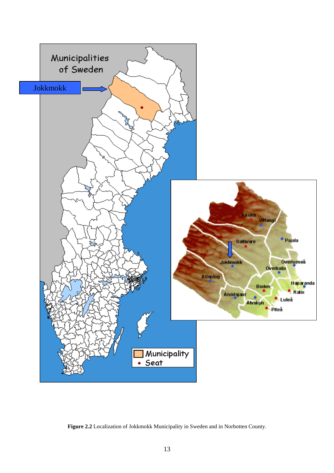

**Figure 2.2** Localization of Jokkmokk Municipality in Sweden and in Norbotten County.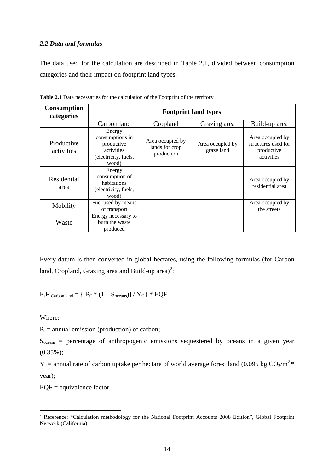#### *2.2 Data and formulas*

The data used for the calculation are described in Table 2.1, divided between consumption categories and their impact on footprint land types.

| <b>Consumption</b><br>categories | <b>Footprint land types</b>                                                            |                                                  |                                |                                                                     |  |  |
|----------------------------------|----------------------------------------------------------------------------------------|--------------------------------------------------|--------------------------------|---------------------------------------------------------------------|--|--|
|                                  | Carbon land                                                                            | Cropland                                         | Grazing area                   | Build-up area                                                       |  |  |
| Productive<br>activities         | Energy<br>consumptions in<br>productive<br>activities<br>(electricity, fuels,<br>wood) | Area occupied by<br>lands for crop<br>production | Area occupied by<br>graze land | Area occupied by<br>structures used for<br>productive<br>activities |  |  |
| Residential<br>area              | Energy<br>consumption of<br>habitations<br>(electricity, fuels,<br>wood)               |                                                  |                                | Area occupied by<br>residential area                                |  |  |
| Mobility                         | Fuel used by means<br>of transport                                                     |                                                  |                                | Area occupied by<br>the streets                                     |  |  |
| Waste                            | Energy necessary to<br>burn the waste<br>produced                                      |                                                  |                                |                                                                     |  |  |

**Table 2.1** Data necessaries for the calculation of the Footprint of the territory

Every datum is then converted in global hectares, using the following formulas (for Carbon land, Cropland, Grazing area and Build-up area)<sup>2</sup>:

E.F.Carbon land =  $\{[P_{C} * (1 - S_{oceans})] / Y_{C}\} * EQF$ 

Where:

 $P_c$  = annual emission (production) of carbon;

 $S<sub>oceans</sub>$  = percentage of anthropogenic emissions sequestered by oceans in a given year (0.35%);

 $Y_c$  = annual rate of carbon uptake per hectare of world average forest land (0.095 kg CO<sub>2</sub>/m<sup>2</sup> \* year);

 $EQF =$  equivalence factor.

<sup>&</sup>lt;sup>2</sup> Reference: "Calculation methodology for the National Footprint Accounts 2008 Edition", Global Footprint Network (California).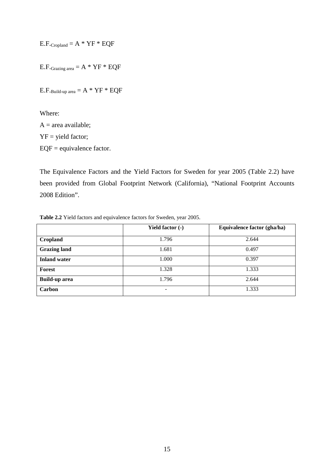$E.F.\text{Cropland} = A * YF * EQF$ 

E.F. Grazing area  $= A * YF * EQF$ 

 $E.F.$ Build-up area  $= A * YF * EQF$ 

Where:  $A = area available;$ YF = yield factor; EQF = equivalence factor.

The Equivalence Factors and the Yield Factors for Sweden for year 2005 (Table 2.2) have been provided from Global Footprint Network (California), "National Footprint Accounts 2008 Edition".

**Table 2.2** Yield factors and equivalence factors for Sweden, year 2005.

|                      | Yield factor (-) | Equivalence factor (gha/ha) |
|----------------------|------------------|-----------------------------|
| Cropland             | 1.796            | 2.644                       |
| <b>Grazing land</b>  | 1.681            | 0.497                       |
| <b>Inland water</b>  | 1.000            | 0.397                       |
| <b>Forest</b>        | 1.328            | 1.333                       |
| <b>Build-up area</b> | 1.796            | 2.644                       |
| Carbon               | ۰                | 1.333                       |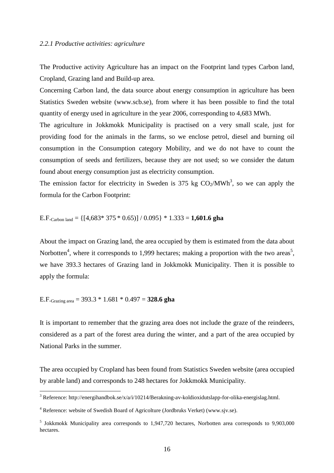#### *2.2.1 Productive activities: agriculture*

The Productive activity Agriculture has an impact on the Footprint land types Carbon land, Cropland, Grazing land and Build-up area.

Concerning Carbon land, the data source about energy consumption in agriculture has been Statistics Sweden website (www.scb.se), from where it has been possible to find the total quantity of energy used in agriculture in the year 2006, corresponding to 4,683 MWh.

The agriculture in Jokkmokk Municipality is practised on a very small scale, just for providing food for the animals in the farms, so we enclose petrol, diesel and burning oil consumption in the Consumption category Mobility, and we do not have to count the consumption of seeds and fertilizers, because they are not used; so we consider the datum found about energy consumption just as electricity consumption.

The emission factor for electricity in Sweden is 375 kg  $CO<sub>2</sub>/MWh<sup>3</sup>$ , so we can apply the formula for the Carbon Footprint:

E.F.Carbon land = {[4,683\* 375 \* 0.65)] / 0.095} \* 1.333 = **1,601.6 gha** 

About the impact on Grazing land, the area occupied by them is estimated from the data about Norbotten<sup>4</sup>, where it corresponds to 1,999 hectares; making a proportion with the two areas<sup>5</sup>, we have 393.3 hectares of Grazing land in Jokkmokk Municipality. Then it is possible to apply the formula:

#### E.F.Grazing area = 393.3 \* 1.681 \* 0.497 = **328.6 gha**

It is important to remember that the grazing area does not include the graze of the reindeers, considered as a part of the forest area during the winter, and a part of the area occupied by National Parks in the summer.

The area occupied by Cropland has been found from Statistics Sweden website (area occupied by arable land) and corresponds to 248 hectares for Jokkmokk Municipality.

 3 Reference: http://energihandbok.se/x/a/i/10214/Berakning-av-koldioxidutslapp-for-olika-energislag.html.

<sup>&</sup>lt;sup>4</sup> Reference: website of Swedish Board of Agricolture (Jordbruks Verket) (www.sjv.se).

<sup>&</sup>lt;sup>5</sup> Jokkmokk Municipality area corresponds to 1,947,720 hectares, Norbotten area corresponds to 9,903,000 hectares.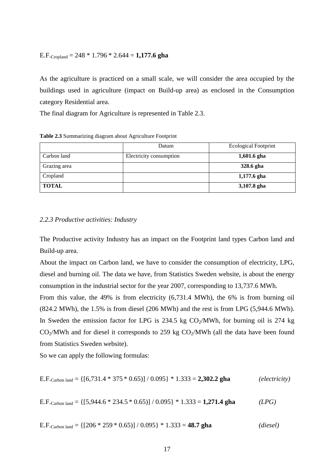#### E.F.Cropland = 248 \* 1.796 \* 2.644 = **1,177.6 gha**

As the agriculture is practiced on a small scale, we will consider the area occupied by the buildings used in agriculture (impact on Build-up area) as enclosed in the Consumption category Residential area.

The final diagram for Agriculture is represented in Table 2.3.

|              | Datum                   | <b>Ecological Footprint</b> |
|--------------|-------------------------|-----------------------------|
| Carbon land  | Electricity consumption | $1,601.6$ gha               |
| Grazing area |                         | 328.6 gha                   |
| Cropland     |                         | 1,177.6 gha                 |
| <b>TOTAL</b> |                         | 3,107.8 gha                 |

**Table 2.3** Summarizing diagram about Agriculture Footprint

#### *2.2.3 Productive activities: Industry*

The Productive activity Industry has an impact on the Footprint land types Carbon land and Build-up area.

About the impact on Carbon land, we have to consider the consumption of electricity, LPG, diesel and burning oil. The data we have, from Statistics Sweden website, is about the energy consumption in the industrial sector for the year 2007, corresponding to 13,737.6 MWh.

From this value, the 49% is from electricity (6,731.4 MWh), the 6% is from burning oil (824.2 MWh), the 1.5% is from diesel (206 MWh) and the rest is from LPG (5,944.6 MWh). In Sweden the emission factor for LPG is  $234.5$  kg  $CO<sub>2</sub>/MWh$ , for burning oil is  $274$  kg  $CO<sub>2</sub>/MWh$  and for diesel it corresponds to 259 kg  $CO<sub>2</sub>/MWh$  (all the data have been found from Statistics Sweden website).

So we can apply the following formulas:

E.F.<sub>Carbon land</sub> = 
$$
\{ [6,731.4 * 375 * 0.65) ] / 0.095 \} * 1.333 = 2,302.2 \text{ gha}
$$
 (electricity)

E.F.<sub>Carbon land</sub> = 
$$
\{ [5,944.6 * 234.5 * 0.65) ] / 0.095 \} * 1.333 = 1,271.4 \text{ gha}
$$
 (LPG)

E.F.<sub>Carbon land</sub> = 
$$
\{ [206 * 259 * 0.65) ] / 0.095 \} * 1.333 = 48.7 \text{ gha}
$$
 (*diesel*)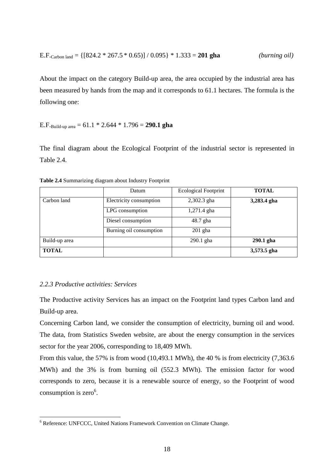E.F.<sub>Carbon land</sub> = 
$$
\{ [824.2 * 267.5 * 0.65) ] / 0.095 \} * 1.333 = 201 gha
$$
 (*burning oil*)

About the impact on the category Build-up area, the area occupied by the industrial area has been measured by hands from the map and it corresponds to 61.1 hectares. The formula is the following one:

E.F.Build-up area = 61.1 \* 2.644 \* 1.796 = **290.1 gha** 

The final diagram about the Ecological Footprint of the industrial sector is represented in Table 2.4.

|               | Datum                   | <b>Ecological Footprint</b> | <b>TOTAL</b> |
|---------------|-------------------------|-----------------------------|--------------|
| Carbon land   | Electricity consumption | 2,302.3 gha                 | 3,283.4 gha  |
|               | LPG consumption         | 1,271.4 gha                 |              |
|               | Diesel consumption      | 48.7 gha                    |              |
|               | Burning oil consumption | $201$ gha                   |              |
| Build-up area |                         | $290.1$ gha                 | 290.1 gha    |
| <b>TOTAL</b>  |                         |                             | 3,573.5 gha  |

**Table 2.4** Summarizing diagram about Industry Footprint

#### *2.2.3 Productive activities: Services*

 $\overline{a}$ 

The Productive activity Services has an impact on the Footprint land types Carbon land and Build-up area.

Concerning Carbon land, we consider the consumption of electricity, burning oil and wood. The data, from Statistics Sweden website, are about the energy consumption in the services sector for the year 2006, corresponding to 18,409 MWh.

From this value, the 57% is from wood (10,493.1 MWh), the 40 % is from electricity (7,363.6) MWh) and the 3% is from burning oil (552.3 MWh). The emission factor for wood corresponds to zero, because it is a renewable source of energy, so the Footprint of wood consumption is zero $6$ .

<sup>&</sup>lt;sup>6</sup> Reference: UNFCCC, United Nations Framework Convention on Climate Change.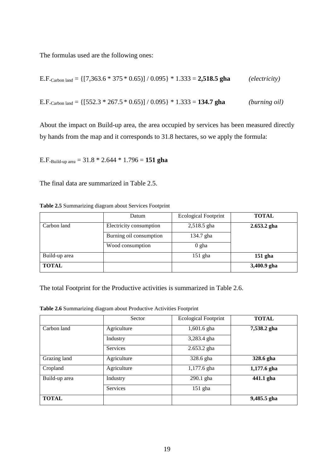The formulas used are the following ones:

E.F.carbon land = 
$$
\{ [7,363.6 * 375 * 0.65) ] / 0.095 \} * 1.333 = 2,518.5 \text{ gha}
$$
 (electricity)  
E.F.carbon land =  $\{ [552.3 * 267.5 * 0.65) ] / 0.095 \} * 1.333 = 134.7 \text{ gha}$  (burning oil)

About the impact on Build-up area, the area occupied by services has been measured directly by hands from the map and it corresponds to 31.8 hectares, so we apply the formula:

E.F.Build-up area = 31.8 \* 2.644 \* 1.796 = **151 gha** 

The final data are summarized in Table 2.5.

| Table 2.5 Summarizing diagram about Services Footprint |  |  |
|--------------------------------------------------------|--|--|
|                                                        |  |  |

|               | Datum                   | <b>Ecological Footprint</b> | <b>TOTAL</b>  |
|---------------|-------------------------|-----------------------------|---------------|
| Carbon land   | Electricity consumption | 2,518.5 gha                 | $2.653.2$ gha |
|               | Burning oil consumption | 134.7 gha                   |               |
|               | Wood consumption        | $0$ gha                     |               |
| Build-up area |                         | $151$ gha                   | $151$ gha     |
| <b>TOTAL</b>  |                         |                             | 3,400.9 gha   |

The total Footprint for the Productive activities is summarized in Table 2.6.

**Table 2.6** Summarizing diagram about Productive Activities Footprint

|               | Sector          | <b>Ecological Footprint</b> | <b>TOTAL</b> |
|---------------|-----------------|-----------------------------|--------------|
| Carbon land   | Agriculture     | 1,601.6 gha                 | 7,538.2 gha  |
|               | Industry        | 3,283.4 gha                 |              |
|               | <b>Services</b> | 2.653.2 gha                 |              |
| Grazing land  | Agriculture     | 328.6 gha                   | 328.6 gha    |
| Cropland      | Agriculture     | 1,177.6 gha                 | 1,177.6 gha  |
| Build-up area | Industry        | 290.1 gha                   | 441.1 gha    |
|               | Services        | $151$ gha                   |              |
| <b>TOTAL</b>  |                 |                             | 9,485.5 gha  |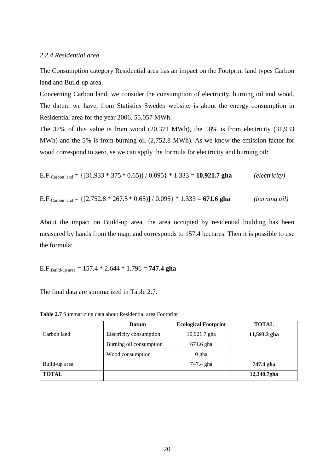#### *2.2.4 Residential area*

The Consumption category Residential area has an impact on the Footprint land types Carbon land and Build-up area.

Concerning Carbon land, we consider the consumption of electricity, burning oil and wood. The datum we have, from Statistics Sweden website, is about the energy consumption in Residential area for the year 2006, 55,057 MWh.

The 37% of this value is from wood (20,371 MWh), the 58% is from electricity (31,933 MWh) and the 5% is from burning oil (2,752.8 MWh). As we know the emission factor for wood correspond to zero, se we can apply the formula for electricity and burning oil:

E.F.<sub>Carbon land</sub> = 
$$
\{ [31,933 * 375 * 0.65) ] / 0.095 \} * 1.333 = 10,921.7 \text{ gha}
$$
 (electricity)

E.F.<sub>Carbon land</sub> = 
$$
\{ [2,752.8 * 267.5 * 0.65) ] / 0.095 \} * 1.333 = 671.6
$$
 gha (*burning oil*)

About the impact on Build-up area, the area occupied by residential building has been measured by hands from the map, and corresponds to 157.4 hectares. Then it is possible to use the formula:

E.F.<sub>Build-up area</sub> = 
$$
157.4 * 2.644 * 1.796 = 747.4
$$
 gha

The final data are summarized in Table 2.7.

**Table 2.7** Summarizing data about Residential area Footprint

|               | Datum                   | <b>Ecological Footprint</b> | <b>TOTAL</b> |
|---------------|-------------------------|-----------------------------|--------------|
| Carbon land   | Electricity consumption | 10,921.7 gha                | 11,593.3 gha |
|               | Burning oil consumption | 671.6 gha                   |              |
|               | Wood consumption        | $0$ gha                     |              |
| Build-up area |                         | 747.4 gha                   | 747.4 gha    |
| <b>TOTAL</b>  |                         |                             | 12,340.7gha  |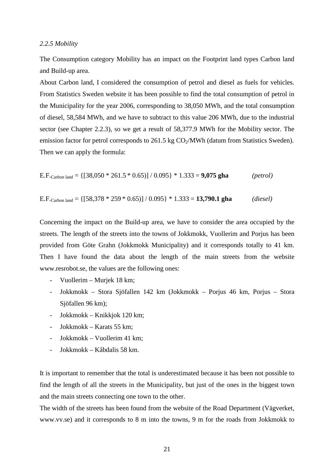#### *2.2.5 Mobility*

The Consumption category Mobility has an impact on the Footprint land types Carbon land and Build-up area.

About Carbon land, I considered the consumption of petrol and diesel as fuels for vehicles. From Statistics Sweden website it has been possible to find the total consumption of petrol in the Municipality for the year 2006, corresponding to 38,050 MWh, and the total consumption of diesel, 58,584 MWh, and we have to subtract to this value 206 MWh, due to the industrial sector (see Chapter 2.2.3), so we get a result of 58,377.9 MWh for the Mobility sector. The emission factor for petrol corresponds to  $261.5 \text{ kg CO}_2/\text{MWh}$  (datum from Statistics Sweden). Then we can apply the formula:

E.F.<sub>Carbon land</sub> = 
$$
\{ [38,050 * 261.5 * 0.65) ] / 0.095 \} * 1.333 = 9,075 \text{ gha}
$$
 (*petrol*)

E.F.<sub>Carbon land</sub> = 
$$
\{ [58,378 * 259 * 0.65) ] / 0.095 \} * 1.333 = 13,790.1 \text{ gha}
$$
 (*diesel*)

Concerning the impact on the Build-up area, we have to consider the area occupied by the streets. The length of the streets into the towns of Jokkmokk, Vuollerim and Porjus has been provided from Göte Grahn (Jokkmokk Municipality) and it corresponds totally to 41 km. Then I have found the data about the length of the main streets from the website www.resrobot.se, the values are the following ones:

- Vuollerim Murjek 18 km;
- Jokkmokk Stora Sjöfallen 142 km (Jokkmokk Porjus 46 km, Porjus Stora Sjöfallen 96 km);
- Jokkmokk Knikkjok 120 km;
- Jokkmokk Karats 55 km;
- Jokkmokk Vuollerim 41 km;
- Jokkmokk Kåbdalis 58 km.

It is important to remember that the total is underestimated because it has been not possible to find the length of all the streets in the Municipality, but just of the ones in the biggest town and the main streets connecting one town to the other.

The width of the streets has been found from the website of the Road Department (Vägverket, www.vv.se) and it corresponds to 8 m into the towns, 9 m for the roads from Jokkmokk to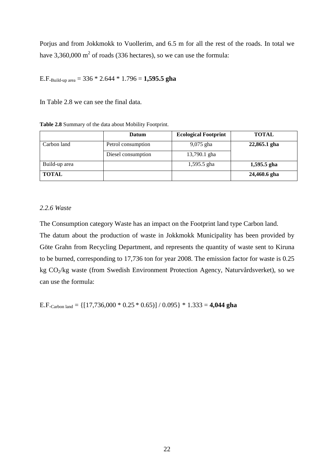Porjus and from Jokkmokk to Vuollerim, and 6.5 m for all the rest of the roads. In total we have 3,360,000  $m^2$  of roads (336 hectares), so we can use the formula:

E.F.Build-up area = 336 \* 2.644 \* 1.796 = **1,595.5 gha** 

In Table 2.8 we can see the final data.

**Table 2.8** Summary of the data about Mobility Footprint.

|               | <b>Datum</b>       | <b>Ecological Footprint</b> | <b>TOTAL</b>  |
|---------------|--------------------|-----------------------------|---------------|
| Carbon land   | Petrol consumption | $9,075$ gha                 | 22,865.1 gha  |
|               | Diesel consumption | 13,790.1 gha                |               |
| Build-up area |                    | $1,595.5$ gha               | $1,595.5$ gha |
| <b>TOTAL</b>  |                    |                             | 24,460.6 gha  |

#### *2.2.6 Waste*

The Consumption category Waste has an impact on the Footprint land type Carbon land.

The datum about the production of waste in Jokkmokk Municipality has been provided by Göte Grahn from Recycling Department, and represents the quantity of waste sent to Kiruna to be burned, corresponding to 17,736 ton for year 2008. The emission factor for waste is 0.25 kg CO2/kg waste (from Swedish Environment Protection Agency, Naturvårdsverket), so we can use the formula:

E.F.<sub>Carbon land</sub> =  $\{[17,736,000 * 0.25 * 0.65)] / 0.095\} * 1.333 = 4,044$  gha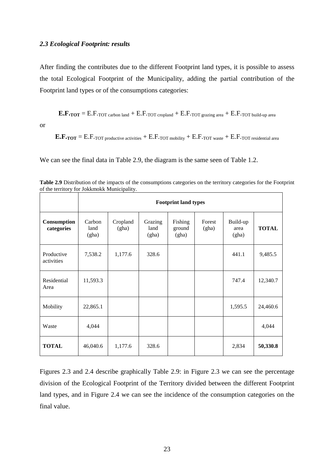#### *2.3 Ecological Footprint: results*

After finding the contributes due to the different Footprint land types, it is possible to assess the total Ecological Footprint of the Municipality, adding the partial contribution of the Footprint land types or of the consumptions categories:

 $E.F.$ **TOT** =  $E.F.$ **TOT** carbon land +  $E.F.$ **TOT** cropland +  $E.F.$ **TOT** grazing area +  $E.F.$ **TOT** build-up area

or

 $E.F.$ **TOT** = E.F.TOT productive activities  $+$  E.F.TOT mobility  $+$  E.F.TOT waste  $+$  E.F.TOT residential area

We can see the final data in Table 2.9, the diagram is the same seen of Table 1.2.

|                           | <b>Footprint land types</b> |                   |                          |                            |                 |                           |              |
|---------------------------|-----------------------------|-------------------|--------------------------|----------------------------|-----------------|---------------------------|--------------|
| Consumption<br>categories | Carbon<br>land<br>(gha)     | Cropland<br>(gha) | Grazing<br>land<br>(gha) | Fishing<br>ground<br>(gha) | Forest<br>(gha) | Build-up<br>area<br>(gha) | <b>TOTAL</b> |
| Productive<br>activities  | 7,538.2                     | 1,177.6           | 328.6                    |                            |                 | 441.1                     | 9,485.5      |
| Residential<br>Area       | 11,593.3                    |                   |                          |                            |                 | 747.4                     | 12,340.7     |
| Mobility                  | 22,865.1                    |                   |                          |                            |                 | 1,595.5                   | 24,460.6     |
| Waste                     | 4,044                       |                   |                          |                            |                 |                           | 4,044        |
| <b>TOTAL</b>              | 46,040.6                    | 1,177.6           | 328.6                    |                            |                 | 2,834                     | 50,330.8     |

**Table 2.9** Distribution of the impacts of the consumptions categories on the territory categories for the Footprint of the territory for Jokkmokk Municipality.

Figures 2.3 and 2.4 describe graphically Table 2.9: in Figure 2.3 we can see the percentage division of the Ecological Footprint of the Territory divided between the different Footprint land types, and in Figure 2.4 we can see the incidence of the consumption categories on the final value.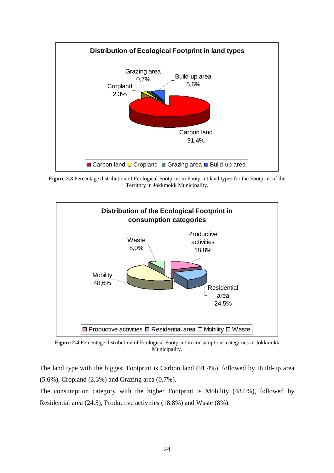

**Figure 2.3** Percentage distribution of Ecological Footprint in Footprint land types for the Footprint of the Territory in Jokkmokk Municipality.



**Figure 2.4** Percentage distribution of Ecological Footprint in consumptions categories in Jokkmokk Municipality.

The land type with the biggest Footprint is Carbon land (91.4%), followed by Build-up area (5.6%), Cropland (2.3%) and Grazing area (0.7%).

The consumption category with the higher Footprint is Mobility (48.6%), followed by Residential area (24.5), Productive activities (18.8%) and Waste (8%).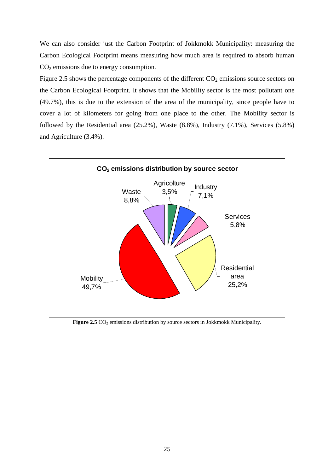We can also consider just the Carbon Footprint of Jokkmokk Municipality: measuring the Carbon Ecological Footprint means measuring how much area is required to absorb human  $CO<sub>2</sub>$  emissions due to energy consumption.

Figure 2.5 shows the percentage components of the different  $CO<sub>2</sub>$  emissions source sectors on the Carbon Ecological Footprint. It shows that the Mobility sector is the most pollutant one (49.7%), this is due to the extension of the area of the municipality, since people have to cover a lot of kilometers for going from one place to the other. The Mobility sector is followed by the Residential area (25.2%), Waste (8.8%), Industry (7.1%), Services (5.8%) and Agriculture (3.4%).



Figure 2.5 CO<sub>2</sub> emissions distribution by source sectors in Jokkmokk Municipality.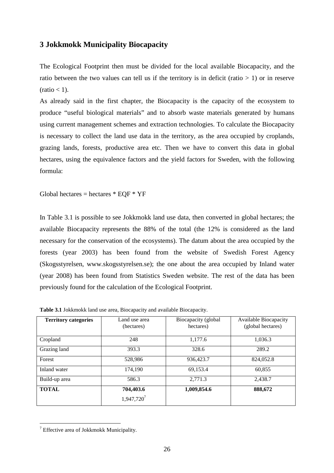#### **3 Jokkmokk Municipality Biocapacity**

The Ecological Footprint then must be divided for the local available Biocapacity, and the ratio between the two values can tell us if the territory is in deficit (ratio  $> 1$ ) or in reserve  $(ratio < 1)$ .

As already said in the first chapter, the Biocapacity is the capacity of the ecosystem to produce "useful biological materials" and to absorb waste materials generated by humans using current management schemes and extraction technologies. To calculate the Biocapacity is necessary to collect the land use data in the territory, as the area occupied by croplands, grazing lands, forests, productive area etc. Then we have to convert this data in global hectares, using the equivalence factors and the yield factors for Sweden, with the following formula:

Global hectares = hectares  $*$  EOF  $*$  YF

In Table 3.1 is possible to see Jokkmokk land use data, then converted in global hectares; the available Biocapacity represents the 88% of the total (the 12% is considered as the land necessary for the conservation of the ecosystems). The datum about the area occupied by the forests (year 2003) has been found from the website of Swedish Forest Agency (Skogsstyrelsen, www.skogsstyrelsen.se); the one about the area occupied by Inland water (year 2008) has been found from Statistics Sweden website. The rest of the data has been previously found for the calculation of the Ecological Footprint.

| <b>Territory categories</b> | Land use area<br>(hectares)         | Biocapacity (global<br>hectares) | <b>Available Biocapacity</b><br>(global hectares) |
|-----------------------------|-------------------------------------|----------------------------------|---------------------------------------------------|
| Cropland                    | 248                                 | 1,177.6                          | 1,036.3                                           |
| Grazing land                | 393.3                               | 328.6                            | 289.2                                             |
| Forest                      | 528,986                             | 936,423.7                        | 824,052.8                                         |
| Inland water                | 174,190                             | 69,153.4                         | 60,855                                            |
| Build-up area               | 586.3                               | 2,771.3                          | 2,438.7                                           |
| <b>TOTAL</b>                | 704,403.6<br>1,947,720 <sup>7</sup> | 1,009,854.6                      | 888,672                                           |

**Table 3.1** Jokkmokk land use area, Biocapacity and available Biocapacity.

 7 Effective area of Jokkmokk Municipality.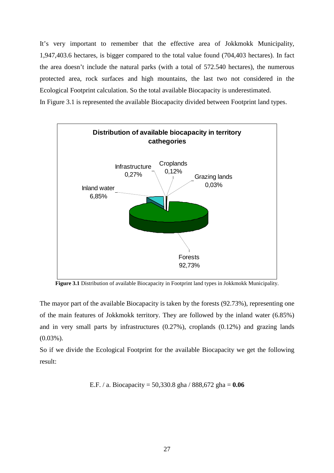It's very important to remember that the effective area of Jokkmokk Municipality, 1,947,403.6 hectares, is bigger compared to the total value found (704,403 hectares). In fact the area doesn't include the natural parks (with a total of 572.540 hectares), the numerous protected area, rock surfaces and high mountains, the last two not considered in the Ecological Footprint calculation. So the total available Biocapacity is underestimated.

In Figure 3.1 is represented the available Biocapacity divided between Footprint land types.



**Figure 3.1** Distribution of available Biocapacity in Footprint land types in Jokkmokk Municipality.

The mayor part of the available Biocapacity is taken by the forests (92.73%), representing one of the main features of Jokkmokk territory. They are followed by the inland water (6.85%) and in very small parts by infrastructures (0.27%), croplands (0.12%) and grazing lands (0.03%).

So if we divide the Ecological Footprint for the available Biocapacity we get the following result:

E.F. / a. Biocapacity = 
$$
50,330.8
$$
 gha /  $888,672$  gha =  $0.06$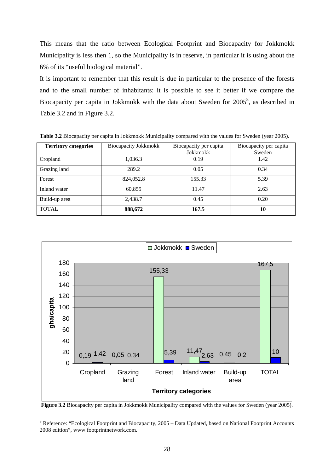This means that the ratio between Ecological Footprint and Biocapacity for Jokkmokk Municipality is less then 1, so the Municipality is in reserve, in particular it is using about the 6% of its "useful biological material".

It is important to remember that this result is due in particular to the presence of the forests and to the small number of inhabitants: it is possible to see it better if we compare the Biocapacity per capita in Jokkmokk with the data about Sweden for  $2005^8$ , as described in Table 3.2 and in Figure 3.2.

| <b>Territory categories</b> | <b>Biocapacity Jokkmokk</b> | Biocapacity per capita<br>Jokkmokk | Biocapacity per capita<br>Sweden |
|-----------------------------|-----------------------------|------------------------------------|----------------------------------|
| Cropland                    | 1,036.3                     | 0.19                               | 1.42                             |
| Grazing land                | 289.2                       | 0.05                               | 0.34                             |
| Forest                      | 824,052.8                   | 155.33                             | 5.39                             |
| Inland water                | 60,855                      | 11.47                              | 2.63                             |
| Build-up area               | 2,438.7                     | 0.45                               | 0.20                             |
| <b>TOTAL</b>                | 888,672                     | 167.5                              | 10                               |

**Table 3.2** Biocapacity per capita in Jokkmokk Municipality compared with the values for Sweden (year 2005).



**Figure 3.2** Biocapacity per capita in Jokkmokk Municipality compared with the values for Sweden (year 2005).

 $\overline{a}$ 

<sup>&</sup>lt;sup>8</sup> Reference: "Ecological Footprint and Biocapacity, 2005 - Data Updated, based on National Footprint Accounts 2008 edition", www.footprintnetwork.com.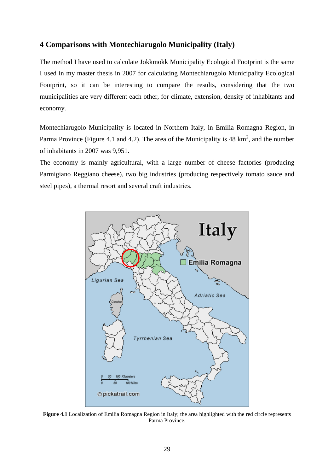## **4 Comparisons with Montechiarugolo Municipality (Italy)**

The method I have used to calculate Jokkmokk Municipality Ecological Footprint is the same I used in my master thesis in 2007 for calculating Montechiarugolo Municipality Ecological Footprint, so it can be interesting to compare the results, considering that the two municipalities are very different each other, for climate, extension, density of inhabitants and economy.

Montechiarugolo Municipality is located in Northern Italy, in Emilia Romagna Region, in Parma Province (Figure 4.1 and 4.2). The area of the Municipality is 48  $\text{km}^2$ , and the number of inhabitants in 2007 was 9,951.

The economy is mainly agricultural, with a large number of cheese factories (producing Parmigiano Reggiano cheese), two big industries (producing respectively tomato sauce and steel pipes), a thermal resort and several craft industries.



**Figure 4.1** Localization of Emilia Romagna Region in Italy; the area highlighted with the red circle represents Parma Province.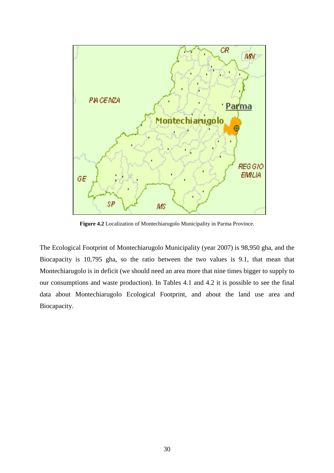

**Figure 4.2** Localization of Montechiarugolo Municipality in Parma Province.

The Ecological Footprint of Montechiarugolo Municipality (year 2007) is 98,950 gha, and the Biocapacity is 10,795 gha, so the ratio between the two values is 9.1, that mean that Montechiarugolo is in deficit (we should need an area more that nine times bigger to supply to our consumptions and waste production). In Tables 4.1 and 4.2 it is possible to see the final data about Montechiarugolo Ecological Footprint, and about the land use area and Biocapacity.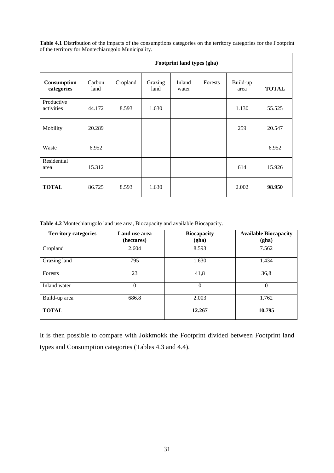**Table 4.1** Distribution of the impacts of the consumptions categories on the territory categories for the Footprint of the territory for Montechiarugolo Municipality.

|                           | Footprint land types (gha) |          |                 |                 |         |                  |              |
|---------------------------|----------------------------|----------|-----------------|-----------------|---------|------------------|--------------|
| Consumption<br>categories | Carbon<br>land             | Cropland | Grazing<br>land | Inland<br>water | Forests | Build-up<br>area | <b>TOTAL</b> |
| Productive<br>activities  | 44.172                     | 8.593    | 1.630           |                 |         | 1.130            | 55.525       |
| Mobility                  | 20.289                     |          |                 |                 |         | 259              | 20.547       |
| Waste                     | 6.952                      |          |                 |                 |         |                  | 6.952        |
| Residential<br>area       | 15.312                     |          |                 |                 |         | 614              | 15.926       |
| <b>TOTAL</b>              | 86.725                     | 8.593    | 1.630           |                 |         | 2.002            | 98.950       |

**Table 4.2** Montechiarugolo land use area, Biocapacity and available Biocapacity.

| <b>Territory categories</b> | Land use area<br>(hectares) | <b>Biocapacity</b><br>(gha) | <b>Available Biocapacity</b><br>(gha) |
|-----------------------------|-----------------------------|-----------------------------|---------------------------------------|
| Cropland                    | 2.604                       | 8.593                       | 7.562                                 |
| Grazing land                | 795                         | 1.630                       | 1.434                                 |
| Forests                     | 23                          | 41,8                        | 36,8                                  |
| Inland water                | $\Omega$                    | $\Omega$                    | $\Omega$                              |
| Build-up area               | 686.8                       | 2.003                       | 1.762                                 |
| <b>TOTAL</b>                |                             | 12.267                      | 10.795                                |

It is then possible to compare with Jokkmokk the Footprint divided between Footprint land types and Consumption categories (Tables 4.3 and 4.4).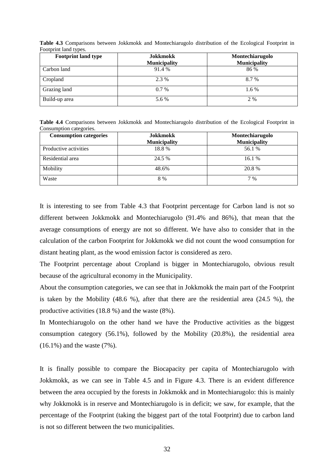| <b>Footprint land type</b> | Jokkmokk<br><b>Municipality</b> | Montechiarugolo<br><b>Municipality</b> |
|----------------------------|---------------------------------|----------------------------------------|
| Carbon land                | 91.4 %                          | 86 %                                   |
| Cropland                   | 2.3 %                           | 8.7 %                                  |
| Grazing land               | $0.7\%$                         | 1.6 %                                  |
| Build-up area              | 5.6 %                           | 2 %                                    |

**Table 4.3** Comparisons between Jokkmokk and Montechiarugolo distribution of the Ecological Footprint in Footprint land types.

**Table 4.4** Comparisons between Jokkmokk and Montechiarugolo distribution of the Ecological Footprint in Consumption categories.

| <b>Consumption categories</b> | <b>Jokkmokk</b>     | Montechiarugolo     |  |
|-------------------------------|---------------------|---------------------|--|
|                               | <b>Municipality</b> | <b>Municipality</b> |  |
| Productive activities         | 18.8%               | 56.1 %              |  |
| Residential area              | 24.5 %              | 16.1 %              |  |
| Mobility                      | 48.6%               | 20.8 %              |  |
| Waste                         | 8 %                 | 7 %                 |  |

It is interesting to see from Table 4.3 that Footprint percentage for Carbon land is not so different between Jokkmokk and Montechiarugolo (91.4% and 86%), that mean that the average consumptions of energy are not so different. We have also to consider that in the calculation of the carbon Footprint for Jokkmokk we did not count the wood consumption for distant heating plant, as the wood emission factor is considered as zero.

The Footprint percentage about Cropland is bigger in Montechiarugolo, obvious result because of the agricultural economy in the Municipality.

About the consumption categories, we can see that in Jokkmokk the main part of the Footprint is taken by the Mobility (48.6 %), after that there are the residential area (24.5 %), the productive activities (18.8 %) and the waste (8%).

In Montechiarugolo on the other hand we have the Productive activities as the biggest consumption category (56.1%), followed by the Mobility (20.8%), the residential area (16.1%) and the waste (7%).

It is finally possible to compare the Biocapacity per capita of Montechiarugolo with Jokkmokk, as we can see in Table 4.5 and in Figure 4.3. There is an evident difference between the area occupied by the forests in Jokkmokk and in Montechiarugolo: this is mainly why Jokkmokk is in reserve and Montechiarugolo is in deficit; we saw, for example, that the percentage of the Footprint (taking the biggest part of the total Footprint) due to carbon land is not so different between the two municipalities.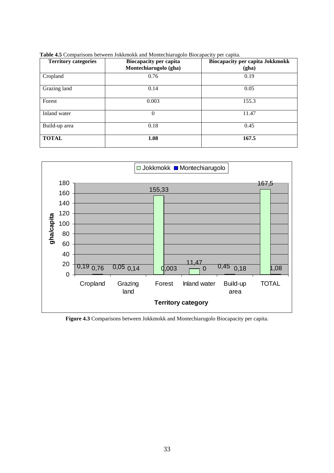| <b>Territory categories</b> | <b>Biocapacity per capita</b><br>Montechiarugolo (gha) | <b>Biocapacity per capita Jokkmokk</b><br>(gha) |
|-----------------------------|--------------------------------------------------------|-------------------------------------------------|
| Cropland                    | 0.76                                                   | 0.19                                            |
| Grazing land                | 0.14                                                   | 0.05                                            |
| Forest                      | 0.003                                                  | 155.3                                           |
| Inland water                | $\theta$                                               | 11.47                                           |
| Build-up area               | 0.18                                                   | 0.45                                            |
| <b>TOTAL</b>                | 1.08                                                   | 167.5                                           |

**Table 4.5** Comparisons between Jokkmokk and Montechiarugolo Biocapacity per capita.



**Figure 4.3** Comparisons between Jokkmokk and Montechiarugolo Biocapacity per capita.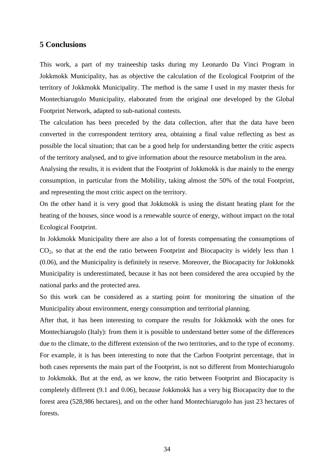#### **5 Conclusions**

This work, a part of my traineeship tasks during my Leonardo Da Vinci Program in Jokkmokk Municipality, has as objective the calculation of the Ecological Footprint of the territory of Jokkmokk Municipality. The method is the same I used in my master thesis for Montechiarugolo Municipality, elaborated from the original one developed by the Global Footprint Network, adapted to sub-national contests.

The calculation has been preceded by the data collection, after that the data have been converted in the correspondent territory area, obtaining a final value reflecting as best as possible the local situation; that can be a good help for understanding better the critic aspects of the territory analysed, and to give information about the resource metabolism in the area.

Analysing the results, it is evident that the Footprint of Jokkmokk is due mainly to the energy consumption, in particular from the Mobility, taking almost the 50% of the total Footprint, and representing the most critic aspect on the territory.

On the other hand it is very good that Jokkmokk is using the distant heating plant for the heating of the houses, since wood is a renewable source of energy, without impact on the total Ecological Footprint.

In Jokkmokk Municipality there are also a lot of forests compensating the consumptions of  $CO<sub>2</sub>$ , so that at the end the ratio between Footprint and Biocapacity is widely less than 1 (0.06), and the Municipality is definitely in reserve. Moreover, the Biocapacity for Jokkmokk Municipality is underestimated, because it has not been considered the area occupied by the national parks and the protected area.

So this work can be considered as a starting point for monitoring the situation of the Municipality about environment, energy consumption and territorial planning.

After that, it has been interesting to compare the results for Jokkmokk with the ones for Montechiarugolo (Italy): from them it is possible to understand better some of the differences due to the climate, to the different extension of the two territories, and to the type of economy. For example, it is has been interesting to note that the Carbon Footprint percentage, that in both cases represents the main part of the Footprint, is not so different from Montechiarugolo to Jokkmokk. But at the end, as we know, the ratio between Footprint and Biocapacity is completely different (9.1 and 0.06), because Jokkmokk has a very big Biocapacity due to the forest area (528,986 hectares), and on the other hand Montechiarugolo has just 23 hectares of forests.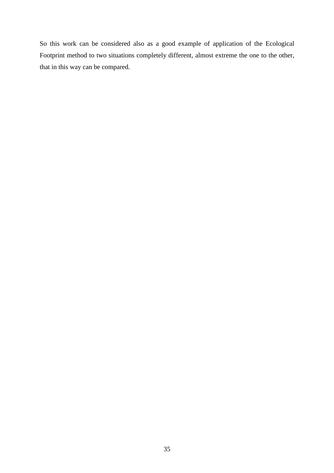So this work can be considered also as a good example of application of the Ecological Footprint method to two situations completely different, almost extreme the one to the other, that in this way can be compared.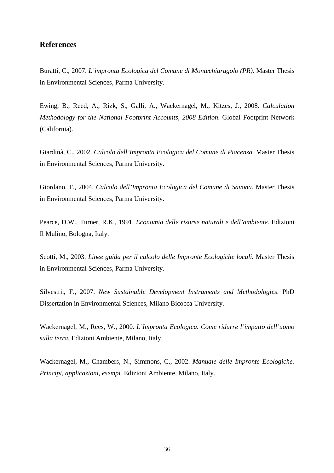### **References**

Buratti, C., 2007. *L'impronta Ecologica del Comune di Montechiarugolo (PR)*. Master Thesis in Environmental Sciences, Parma University.

Ewing, B., Reed, A., Rizk, S., Galli, A., Wackernagel, M., Kitzes, J., 2008. *Calculation Methodology for the National Footprint Accounts, 2008 Edition*. Global Footprint Network (California).

Giardinà, C., 2002. *Calcolo dell'Impronta Ecologica del Comune di Piacenza.* Master Thesis in Environmental Sciences, Parma University.

Giordano, F., 2004. *Calcolo dell'Impronta Ecologica del Comune di Savona.* Master Thesis in Environmental Sciences, Parma University.

Pearce, D.W., Turner, R.K., 1991. *Economia delle risorse naturali e dell'ambiente.* Edizioni Il Mulino, Bologna, Italy.

Scotti, M., 2003. *Linee guida per il calcolo delle Impronte Ecologiche locali.* Master Thesis in Environmental Sciences, Parma University.

Silvestri., F., 2007. *New Sustainable Development Instruments and Methodologies*. PhD Dissertation in Environmental Sciences, Milano Bicocca University.

Wackernagel, M., Rees, W., 2000. *L'Impronta Ecologica. Come ridurre l'impatto dell'uomo sulla terra.* Edizioni Ambiente, Milano, Italy

Wackernagel, M., Chambers, N., Simmons, C., 2002. *Manuale delle Impronte Ecologiche. Principi, applicazioni, esempi.* Edizioni Ambiente, Milano, Italy.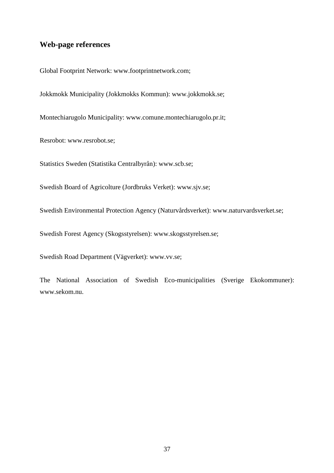# **Web-page references**

Global Footprint Network: www.footprintnetwork.com;

Jokkmokk Municipality (Jokkmokks Kommun): www.jokkmokk.se;

Montechiarugolo Municipality: www.comune.montechiarugolo.pr.it;

Resrobot: www.resrobot.se;

Statistics Sweden (Statistika Centralbyrån): www.scb.se;

Swedish Board of Agricolture (Jordbruks Verket): www.sjv.se;

Swedish Environmental Protection Agency (Naturvårdsverket): www.naturvardsverket.se;

Swedish Forest Agency (Skogsstyrelsen): www.skogsstyrelsen.se;

Swedish Road Department (Vägverket): www.vv.se;

The National Association of Swedish Eco-municipalities (Sverige Ekokommuner): www.sekom.nu.